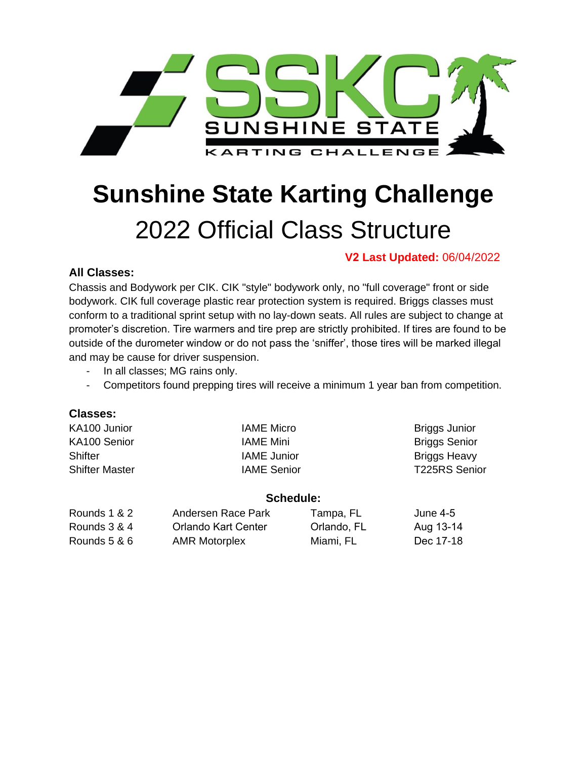

# **Sunshine State Karting Challenge**  2022 Official Class Structure

# **V2 Last Updated:** 06/04/2022

# **All Classes:**

Chassis and Bodywork per CIK. CIK "style" bodywork only, no "full coverage" front or side bodywork. CIK full coverage plastic rear protection system is required. Briggs classes must conform to a traditional sprint setup with no lay-down seats. All rules are subject to change at promoter's discretion. Tire warmers and tire prep are strictly prohibited. If tires are found to be outside of the durometer window or do not pass the 'sniffer', those tires will be marked illegal and may be cause for driver suspension.

- In all classes; MG rains only.
- Competitors found prepping tires will receive a minimum 1 year ban from competition.

## **Classes:**

| KA100 Junior          | IAME Micro         | Briggs Junior        |
|-----------------------|--------------------|----------------------|
| KA100 Senior          | <b>IAME Mini</b>   | <b>Briggs Senior</b> |
| <b>Shifter</b>        | <b>IAME</b> Junior | <b>Briggs Heavy</b>  |
| <b>Shifter Master</b> | <b>IAME</b> Senior | T225RS Senior        |
|                       |                    |                      |

### **Schedule:**

| Rounds 1 & 2 | Andersen Race Park   | Tampa, FL   | June 4-5  |
|--------------|----------------------|-------------|-----------|
| Rounds 3 & 4 | Orlando Kart Center  | Orlando, FL | Aug 13-14 |
| Rounds 5 & 6 | <b>AMR Motorplex</b> | Miami. FL   | Dec 17-18 |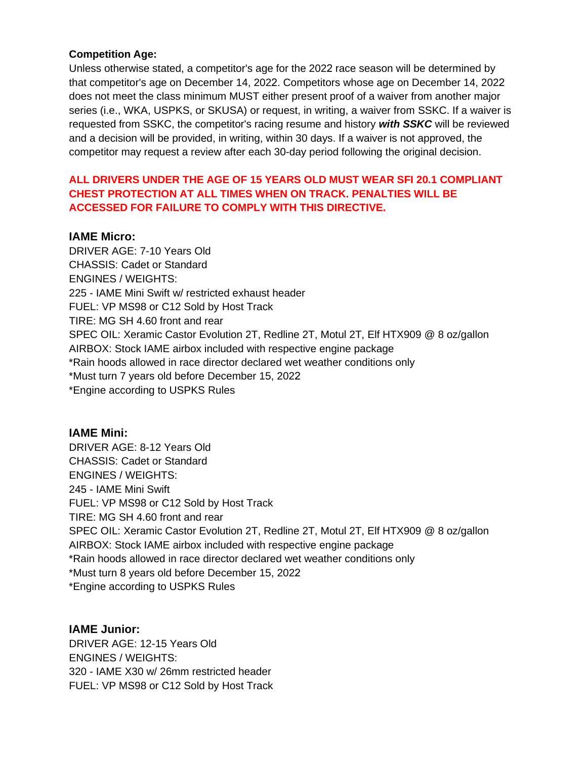#### **Competition Age:**

Unless otherwise stated, a competitor's age for the 2022 race season will be determined by that competitor's age on December 14, 2022. Competitors whose age on December 14, 2022 does not meet the class minimum MUST either present proof of a waiver from another major series (i.e., WKA, USPKS, or SKUSA) or request, in writing, a waiver from SSKC. If a waiver is requested from SSKC, the competitor's racing resume and history *with SSKC* will be reviewed and a decision will be provided, in writing, within 30 days. If a waiver is not approved, the competitor may request a review after each 30-day period following the original decision.

## **ALL DRIVERS UNDER THE AGE OF 15 YEARS OLD MUST WEAR SFI 20.1 COMPLIANT CHEST PROTECTION AT ALL TIMES WHEN ON TRACK. PENALTIES WILL BE ACCESSED FOR FAILURE TO COMPLY WITH THIS DIRECTIVE.**

#### **IAME Micro:**

DRIVER AGE: 7-10 Years Old CHASSIS: Cadet or Standard ENGINES / WEIGHTS: 225 - IAME Mini Swift w/ restricted exhaust header FUEL: VP MS98 or C12 Sold by Host Track TIRE: MG SH 4.60 front and rear SPEC OIL: Xeramic Castor Evolution 2T, Redline 2T, Motul 2T, Elf HTX909 @ 8 oz/gallon AIRBOX: Stock IAME airbox included with respective engine package \*Rain hoods allowed in race director declared wet weather conditions only \*Must turn 7 years old before December 15, 2022 \*Engine according to USPKS Rules

**IAME Mini:** DRIVER AGE: 8-12 Years Old CHASSIS: Cadet or Standard ENGINES / WEIGHTS: 245 - IAME Mini Swift FUEL: VP MS98 or C12 Sold by Host Track TIRE: MG SH 4.60 front and rear SPEC OIL: Xeramic Castor Evolution 2T, Redline 2T, Motul 2T, Elf HTX909 @ 8 oz/gallon AIRBOX: Stock IAME airbox included with respective engine package \*Rain hoods allowed in race director declared wet weather conditions only \*Must turn 8 years old before December 15, 2022 \*Engine according to USPKS Rules

### **IAME Junior:**

DRIVER AGE: 12-15 Years Old ENGINES / WEIGHTS: 320 - IAME X30 w/ 26mm restricted header FUEL: VP MS98 or C12 Sold by Host Track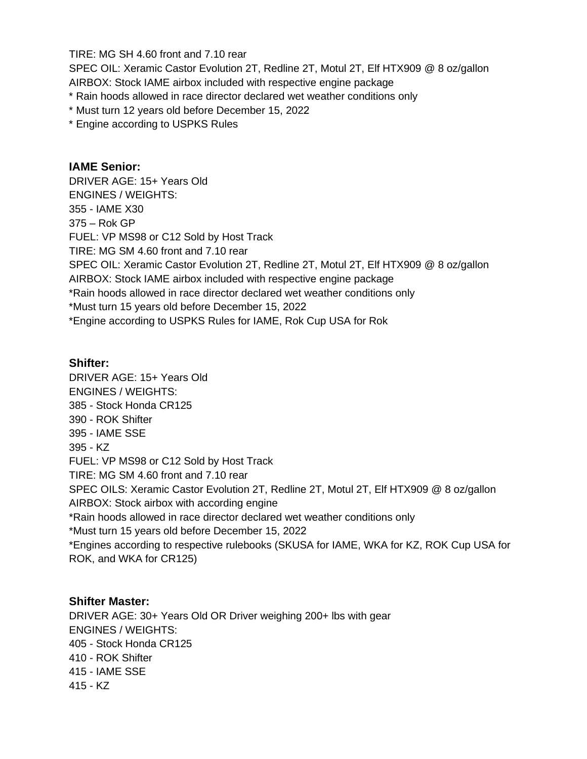TIRE: MG SH 4.60 front and 7.10 rear

SPEC OIL: Xeramic Castor Evolution 2T, Redline 2T, Motul 2T, Elf HTX909 @ 8 oz/gallon AIRBOX: Stock IAME airbox included with respective engine package

- \* Rain hoods allowed in race director declared wet weather conditions only
- \* Must turn 12 years old before December 15, 2022
- \* Engine according to USPKS Rules

# **IAME Senior:**

DRIVER AGE: 15+ Years Old ENGINES / WEIGHTS: 355 - IAME X30 375 – Rok GP FUEL: VP MS98 or C12 Sold by Host Track TIRE: MG SM 4.60 front and 7.10 rear SPEC OIL: Xeramic Castor Evolution 2T, Redline 2T, Motul 2T, Elf HTX909 @ 8 oz/gallon AIRBOX: Stock IAME airbox included with respective engine package \*Rain hoods allowed in race director declared wet weather conditions only \*Must turn 15 years old before December 15, 2022 \*Engine according to USPKS Rules for IAME, Rok Cup USA for Rok

## **Shifter:**

DRIVER AGE: 15+ Years Old ENGINES / WEIGHTS: 385 - Stock Honda CR125 390 - ROK Shifter 395 - IAME SSE 395 - KZ FUEL: VP MS98 or C12 Sold by Host Track TIRE: MG SM 4.60 front and 7.10 rear SPEC OILS: Xeramic Castor Evolution 2T, Redline 2T, Motul 2T, Elf HTX909 @ 8 oz/gallon AIRBOX: Stock airbox with according engine \*Rain hoods allowed in race director declared wet weather conditions only \*Must turn 15 years old before December 15, 2022 \*Engines according to respective rulebooks (SKUSA for IAME, WKA for KZ, ROK Cup USA for ROK, and WKA for CR125)

## **Shifter Master:**

DRIVER AGE: 30+ Years Old OR Driver weighing 200+ lbs with gear ENGINES / WEIGHTS: 405 - Stock Honda CR125 410 - ROK Shifter 415 - IAME SSE 415 - KZ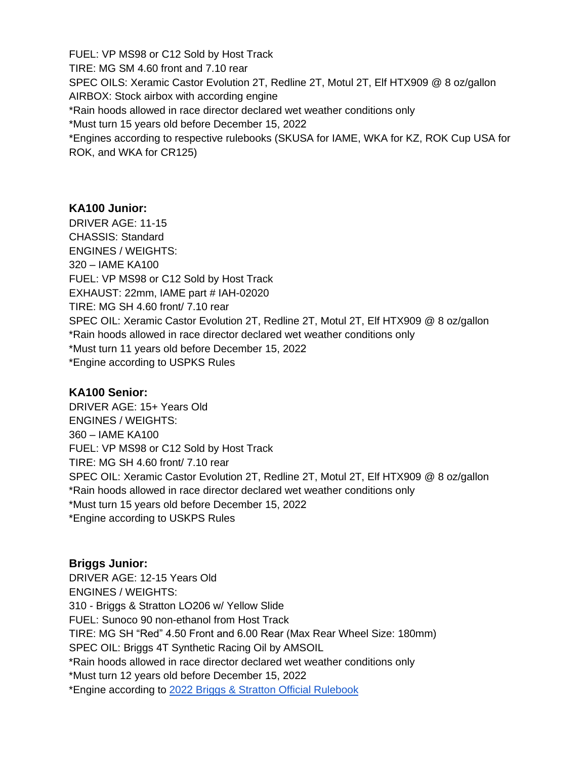FUEL: VP MS98 or C12 Sold by Host Track TIRE: MG SM 4.60 front and 7.10 rear SPEC OILS: Xeramic Castor Evolution 2T, Redline 2T, Motul 2T, Elf HTX909 @ 8 oz/gallon AIRBOX: Stock airbox with according engine \*Rain hoods allowed in race director declared wet weather conditions only \*Must turn 15 years old before December 15, 2022 \*Engines according to respective rulebooks (SKUSA for IAME, WKA for KZ, ROK Cup USA for ROK, and WKA for CR125)

#### **KA100 Junior:**

DRIVER AGE: 11-15 CHASSIS: Standard ENGINES / WEIGHTS: 320 – IAME KA100 FUEL: VP MS98 or C12 Sold by Host Track EXHAUST: 22mm, IAME part # IAH-02020 TIRE: MG SH 4.60 front/ 7.10 rear SPEC OIL: Xeramic Castor Evolution 2T, Redline 2T, Motul 2T, Elf HTX909 @ 8 oz/gallon \*Rain hoods allowed in race director declared wet weather conditions only \*Must turn 11 years old before December 15, 2022 \*Engine according to USPKS Rules

## **KA100 Senior:**

DRIVER AGE: 15+ Years Old ENGINES / WEIGHTS: 360 – IAME KA100 FUEL: VP MS98 or C12 Sold by Host Track TIRE: MG SH 4.60 front/ 7.10 rear SPEC OIL: Xeramic Castor Evolution 2T, Redline 2T, Motul 2T, Elf HTX909 @ 8 oz/gallon \*Rain hoods allowed in race director declared wet weather conditions only \*Must turn 15 years old before December 15, 2022 \*Engine according to USKPS Rules

# **Briggs Junior:** DRIVER AGE: 12-15 Years Old ENGINES / WEIGHTS: 310 - Briggs & Stratton LO206 w/ Yellow Slide FUEL: Sunoco 90 non-ethanol from Host Track TIRE: MG SH "Red" 4.50 Front and 6.00 Rear (Max Rear Wheel Size: 180mm) SPEC OIL: Briggs 4T Synthetic Racing Oil by AMSOIL \*Rain hoods allowed in race director declared wet weather conditions only \*Must turn 12 years old before December 15, 2022 \*Engine according to 2022 Briggs & Stratton Official Rulebook